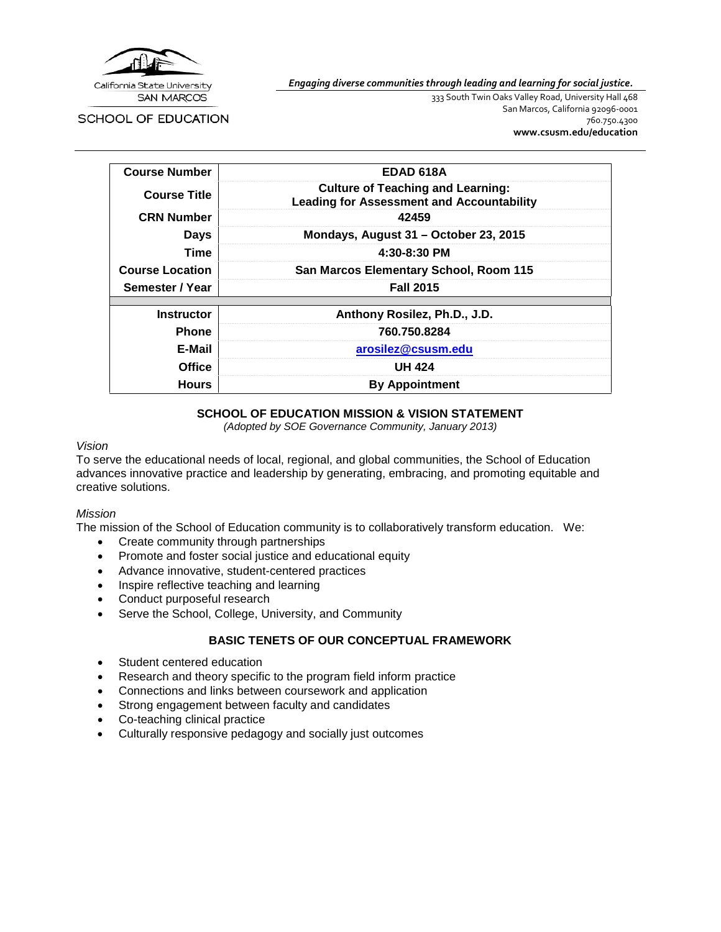

*Engaging diverse communities through leading and learning for social justice.*

SCHOOL OF EDUCATION

333 South Twin Oaks Valley Road, University Hall 468 San Marcos, California 92096-0001 760.750.4300 **[www.csusm.edu/education](http://www.csusm.edu/education)**

| <b>Course Number</b>   | EDAD 618A                                                                                    |  |
|------------------------|----------------------------------------------------------------------------------------------|--|
| <b>Course Title</b>    | <b>Culture of Teaching and Learning:</b><br><b>Leading for Assessment and Accountability</b> |  |
| <b>CRN Number</b>      | 42459                                                                                        |  |
| <b>Days</b>            | Mondays, August 31 - October 23, 2015                                                        |  |
| Time                   | $4:30-8:30$ PM                                                                               |  |
| <b>Course Location</b> | San Marcos Elementary School, Room 115                                                       |  |
| Semester / Year        | <b>Fall 2015</b>                                                                             |  |
| <b>Instructor</b>      | Anthony Rosilez, Ph.D., J.D.                                                                 |  |
| <b>Phone</b>           | 760.750.8284                                                                                 |  |
| E-Mail                 | arosilez@csusm.edu                                                                           |  |
| <b>Office</b>          | <b>UH 424</b>                                                                                |  |
| <b>Hours</b>           | <b>By Appointment</b>                                                                        |  |

#### **SCHOOL OF EDUCATION MISSION & VISION STATEMENT**

*(Adopted by SOE Governance Community, January 2013)*

#### *Vision*

To serve the educational needs of local, regional, and global communities, the School of Education advances innovative practice and leadership by generating, embracing, and promoting equitable and creative solutions.

### *Mission*

The mission of the School of Education community is to collaboratively transform education. We:

- Create community through partnerships
- Promote and foster social justice and educational equity
- Advance innovative, student-centered practices
- Inspire reflective teaching and learning
- Conduct purposeful research
- Serve the School, College, University, and Community

# **BASIC TENETS OF OUR CONCEPTUAL FRAMEWORK**

- Student centered education
- Research and theory specific to the program field inform practice
- Connections and links between coursework and application
- Strong engagement between faculty and candidates
- Co-teaching clinical practice
- Culturally responsive pedagogy and socially just outcomes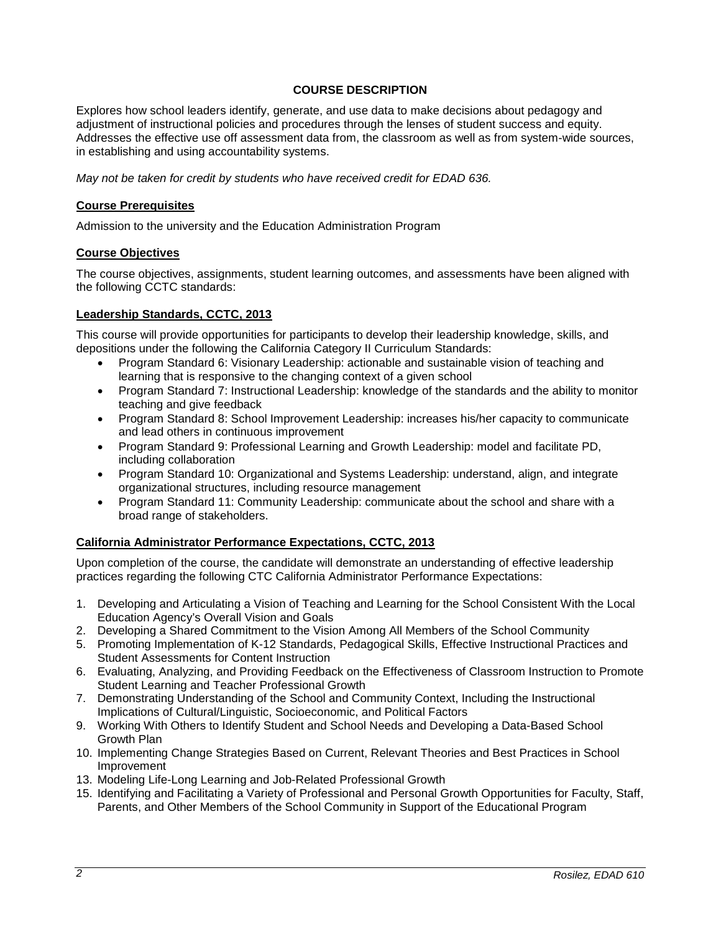### **COURSE DESCRIPTION**

Explores how school leaders identify, generate, and use data to make decisions about pedagogy and adjustment of instructional policies and procedures through the lenses of student success and equity. Addresses the effective use off assessment data from, the classroom as well as from system-wide sources, in establishing and using accountability systems.

*May not be taken for credit by students who have received credit for EDAD 636.*

#### **Course Prerequisites**

Admission to the university and the Education Administration Program

#### **Course Objectives**

The course objectives, assignments, student learning outcomes, and assessments have been aligned with the following CCTC standards:

### **Leadership Standards, CCTC, 2013**

This course will provide opportunities for participants to develop their leadership knowledge, skills, and depositions under the following the California Category II Curriculum Standards:

- Program Standard 6: Visionary Leadership: actionable and sustainable vision of teaching and learning that is responsive to the changing context of a given school
- Program Standard 7: Instructional Leadership: knowledge of the standards and the ability to monitor teaching and give feedback
- Program Standard 8: School Improvement Leadership: increases his/her capacity to communicate and lead others in continuous improvement
- Program Standard 9: Professional Learning and Growth Leadership: model and facilitate PD, including collaboration
- Program Standard 10: Organizational and Systems Leadership: understand, align, and integrate organizational structures, including resource management
- Program Standard 11: Community Leadership: communicate about the school and share with a broad range of stakeholders.

### **California Administrator Performance Expectations, CCTC, 2013**

Upon completion of the course, the candidate will demonstrate an understanding of effective leadership practices regarding the following CTC California Administrator Performance Expectations:

- 1. Developing and Articulating a Vision of Teaching and Learning for the School Consistent With the Local Education Agency's Overall Vision and Goals
- 2. Developing a Shared Commitment to the Vision Among All Members of the School Community
- 5. Promoting Implementation of K-12 Standards, Pedagogical Skills, Effective Instructional Practices and Student Assessments for Content Instruction
- 6. Evaluating, Analyzing, and Providing Feedback on the Effectiveness of Classroom Instruction to Promote Student Learning and Teacher Professional Growth
- 7. Demonstrating Understanding of the School and Community Context, Including the Instructional Implications of Cultural/Linguistic, Socioeconomic, and Political Factors
- 9. Working With Others to Identify Student and School Needs and Developing a Data-Based School Growth Plan
- 10. Implementing Change Strategies Based on Current, Relevant Theories and Best Practices in School Improvement
- 13. Modeling Life-Long Learning and Job-Related Professional Growth
- 15. Identifying and Facilitating a Variety of Professional and Personal Growth Opportunities for Faculty, Staff, Parents, and Other Members of the School Community in Support of the Educational Program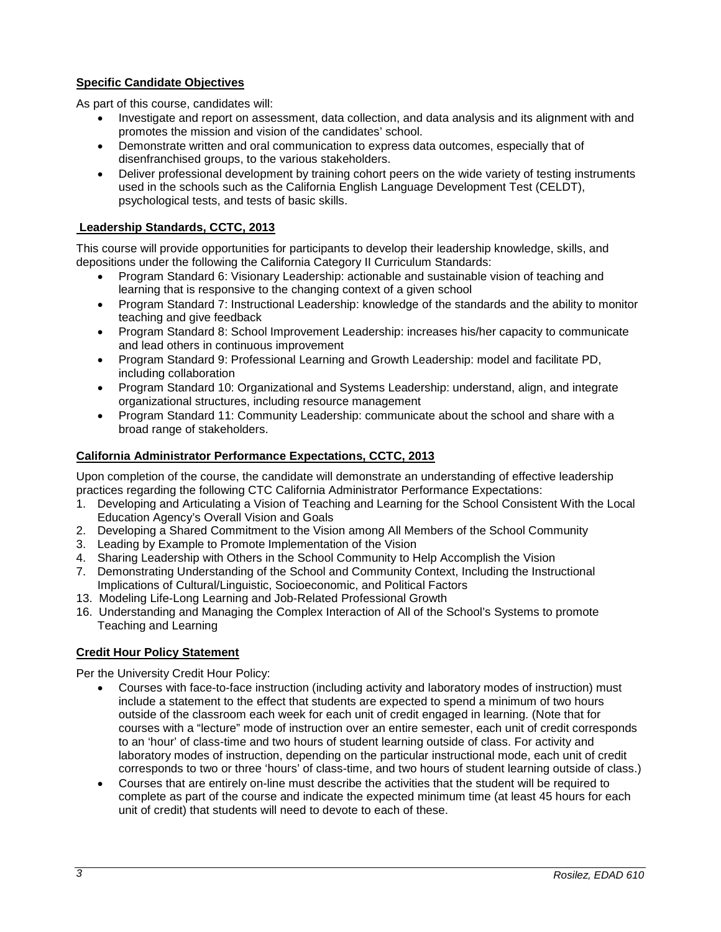# **Specific Candidate Objectives**

As part of this course, candidates will:

- Investigate and report on assessment, data collection, and data analysis and its alignment with and promotes the mission and vision of the candidates' school.
- Demonstrate written and oral communication to express data outcomes, especially that of disenfranchised groups, to the various stakeholders.
- Deliver professional development by training cohort peers on the wide variety of testing instruments used in the schools such as the California English Language Development Test (CELDT), psychological tests, and tests of basic skills.

# **Leadership Standards, CCTC, 2013**

This course will provide opportunities for participants to develop their leadership knowledge, skills, and depositions under the following the California Category II Curriculum Standards:

- Program Standard 6: Visionary Leadership: actionable and sustainable vision of teaching and learning that is responsive to the changing context of a given school
- Program Standard 7: Instructional Leadership: knowledge of the standards and the ability to monitor teaching and give feedback
- Program Standard 8: School Improvement Leadership: increases his/her capacity to communicate and lead others in continuous improvement
- Program Standard 9: Professional Learning and Growth Leadership: model and facilitate PD, including collaboration
- Program Standard 10: Organizational and Systems Leadership: understand, align, and integrate organizational structures, including resource management
- Program Standard 11: Community Leadership: communicate about the school and share with a broad range of stakeholders.

# **California Administrator Performance Expectations, CCTC, 2013**

Upon completion of the course, the candidate will demonstrate an understanding of effective leadership practices regarding the following CTC California Administrator Performance Expectations:

- 1. Developing and Articulating a Vision of Teaching and Learning for the School Consistent With the Local Education Agency's Overall Vision and Goals
- 2. Developing a Shared Commitment to the Vision among All Members of the School Community
- 3. Leading by Example to Promote Implementation of the Vision
- 4. Sharing Leadership with Others in the School Community to Help Accomplish the Vision
- 7. Demonstrating Understanding of the School and Community Context, Including the Instructional Implications of Cultural/Linguistic, Socioeconomic, and Political Factors
- 13. Modeling Life-Long Learning and Job-Related Professional Growth
- 16. Understanding and Managing the Complex Interaction of All of the School's Systems to promote Teaching and Learning

### **Credit Hour Policy Statement**

Per the University Credit Hour Policy:

- Courses with face-to-face instruction (including activity and laboratory modes of instruction) must include a statement to the effect that students are expected to spend a minimum of two hours outside of the classroom each week for each unit of credit engaged in learning. (Note that for courses with a "lecture" mode of instruction over an entire semester, each unit of credit corresponds to an 'hour' of class-time and two hours of student learning outside of class. For activity and laboratory modes of instruction, depending on the particular instructional mode, each unit of credit corresponds to two or three 'hours' of class-time, and two hours of student learning outside of class.)
- Courses that are entirely on-line must describe the activities that the student will be required to complete as part of the course and indicate the expected minimum time (at least 45 hours for each unit of credit) that students will need to devote to each of these.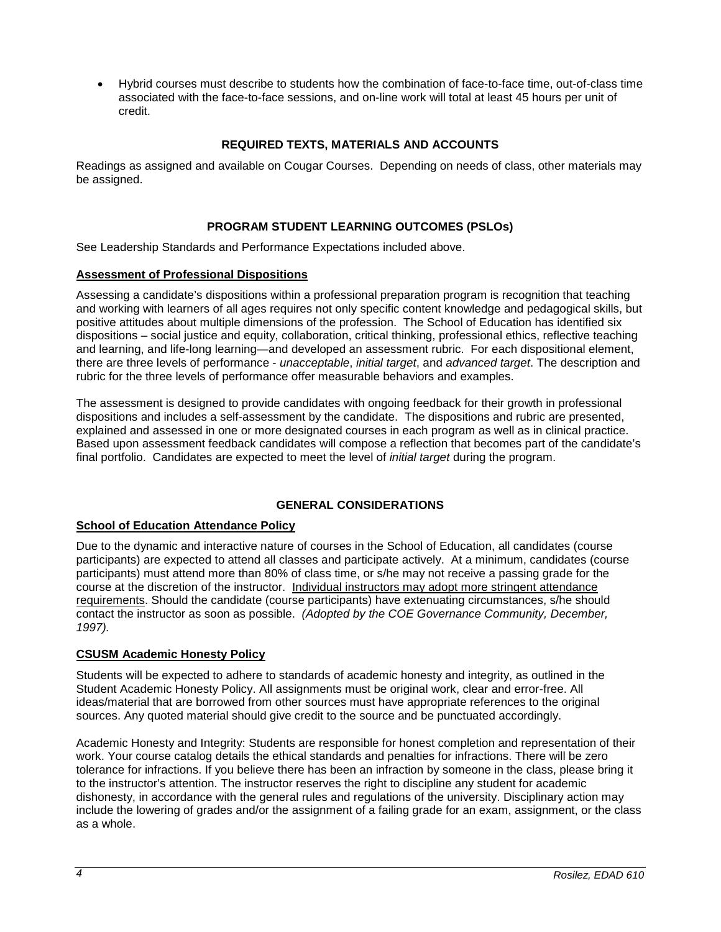• Hybrid courses must describe to students how the combination of face-to-face time, out-of-class time associated with the face-to-face sessions, and on-line work will total at least 45 hours per unit of credit.

# **REQUIRED TEXTS, MATERIALS AND ACCOUNTS**

Readings as assigned and available on Cougar Courses. Depending on needs of class, other materials may be assigned.

# **PROGRAM STUDENT LEARNING OUTCOMES (PSLOs)**

See Leadership Standards and Performance Expectations included above.

### **Assessment of Professional Dispositions**

Assessing a candidate's dispositions within a professional preparation program is recognition that teaching and working with learners of all ages requires not only specific content knowledge and pedagogical skills, but positive attitudes about multiple dimensions of the profession. The School of Education has identified six dispositions – social justice and equity, collaboration, critical thinking, professional ethics, reflective teaching and learning, and life-long learning—and developed an assessment rubric. For each dispositional element, there are three levels of performance - *unacceptable*, *initial target*, and *advanced target*. The description and rubric for the three levels of performance offer measurable behaviors and examples.

The assessment is designed to provide candidates with ongoing feedback for their growth in professional dispositions and includes a self-assessment by the candidate. The dispositions and rubric are presented, explained and assessed in one or more designated courses in each program as well as in clinical practice. Based upon assessment feedback candidates will compose a reflection that becomes part of the candidate's final portfolio. Candidates are expected to meet the level of *initial target* during the program.

# **GENERAL CONSIDERATIONS**

#### **School of Education Attendance Policy**

Due to the dynamic and interactive nature of courses in the School of Education, all candidates (course participants) are expected to attend all classes and participate actively. At a minimum, candidates (course participants) must attend more than 80% of class time, or s/he may not receive a passing grade for the course at the discretion of the instructor. Individual instructors may adopt more stringent attendance requirements. Should the candidate (course participants) have extenuating circumstances, s/he should contact the instructor as soon as possible. *(Adopted by the COE Governance Community, December, 1997).*

# **CSUSM Academic Honesty Policy**

Students will be expected to adhere to standards of academic honesty and integrity, as outlined in the Student Academic Honesty Policy. All assignments must be original work, clear and error-free. All ideas/material that are borrowed from other sources must have appropriate references to the original sources. Any quoted material should give credit to the source and be punctuated accordingly.

Academic Honesty and Integrity: Students are responsible for honest completion and representation of their work. Your course catalog details the ethical standards and penalties for infractions. There will be zero tolerance for infractions. If you believe there has been an infraction by someone in the class, please bring it to the instructor's attention. The instructor reserves the right to discipline any student for academic dishonesty, in accordance with the general rules and regulations of the university. Disciplinary action may include the lowering of grades and/or the assignment of a failing grade for an exam, assignment, or the class as a whole.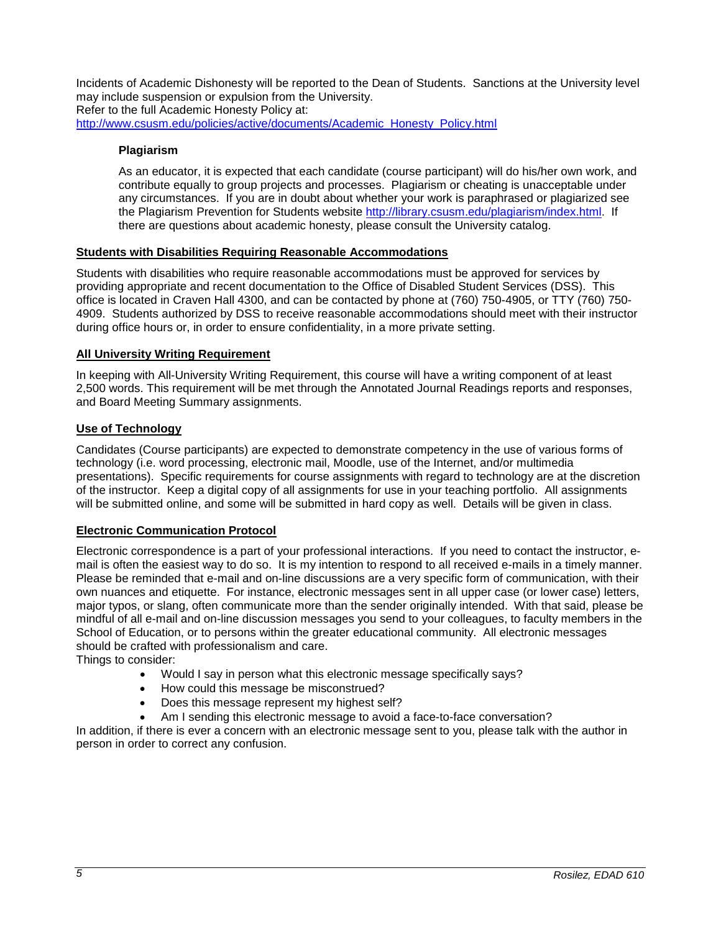Incidents of Academic Dishonesty will be reported to the Dean of Students. Sanctions at the University level may include suspension or expulsion from the University. Refer to the full Academic Honesty Policy at: [http://www.csusm.edu/policies/active/documents/Academic\\_Honesty\\_Policy.html](http://www.csusm.edu/policies/active/documents/Academic_Honesty_Policy.html)

### **Plagiarism**

As an educator, it is expected that each candidate (course participant) will do his/her own work, and contribute equally to group projects and processes. Plagiarism or cheating is unacceptable under any circumstances. If you are in doubt about whether your work is paraphrased or plagiarized see the Plagiarism Prevention for Students website [http://library.csusm.edu/plagiarism/index.html.](http://library.csusm.edu/plagiarism/index.html) If there are questions about academic honesty, please consult the University catalog.

### **Students with Disabilities Requiring Reasonable Accommodations**

Students with disabilities who require reasonable accommodations must be approved for services by providing appropriate and recent documentation to the Office of Disabled Student Services (DSS). This office is located in Craven Hall 4300, and can be contacted by phone at (760) 750-4905, or TTY (760) 750- 4909. Students authorized by DSS to receive reasonable accommodations should meet with their instructor during office hours or, in order to ensure confidentiality, in a more private setting.

# **All University Writing Requirement**

In keeping with All-University Writing Requirement, this course will have a writing component of at least 2,500 words. This requirement will be met through the Annotated Journal Readings reports and responses, and Board Meeting Summary assignments.

### **Use of Technology**

Candidates (Course participants) are expected to demonstrate competency in the use of various forms of technology (i.e. word processing, electronic mail, Moodle, use of the Internet, and/or multimedia presentations). Specific requirements for course assignments with regard to technology are at the discretion of the instructor. Keep a digital copy of all assignments for use in your teaching portfolio. All assignments will be submitted online, and some will be submitted in hard copy as well. Details will be given in class.

### **Electronic Communication Protocol**

Electronic correspondence is a part of your professional interactions. If you need to contact the instructor, email is often the easiest way to do so. It is my intention to respond to all received e-mails in a timely manner. Please be reminded that e-mail and on-line discussions are a very specific form of communication, with their own nuances and etiquette. For instance, electronic messages sent in all upper case (or lower case) letters, major typos, or slang, often communicate more than the sender originally intended. With that said, please be mindful of all e-mail and on-line discussion messages you send to your colleagues, to faculty members in the School of Education, or to persons within the greater educational community. All electronic messages should be crafted with professionalism and care.

Things to consider:

- Would I say in person what this electronic message specifically says?
- How could this message be misconstrued?
- Does this message represent my highest self?
- Am I sending this electronic message to avoid a face-to-face conversation?

In addition, if there is ever a concern with an electronic message sent to you, please talk with the author in person in order to correct any confusion.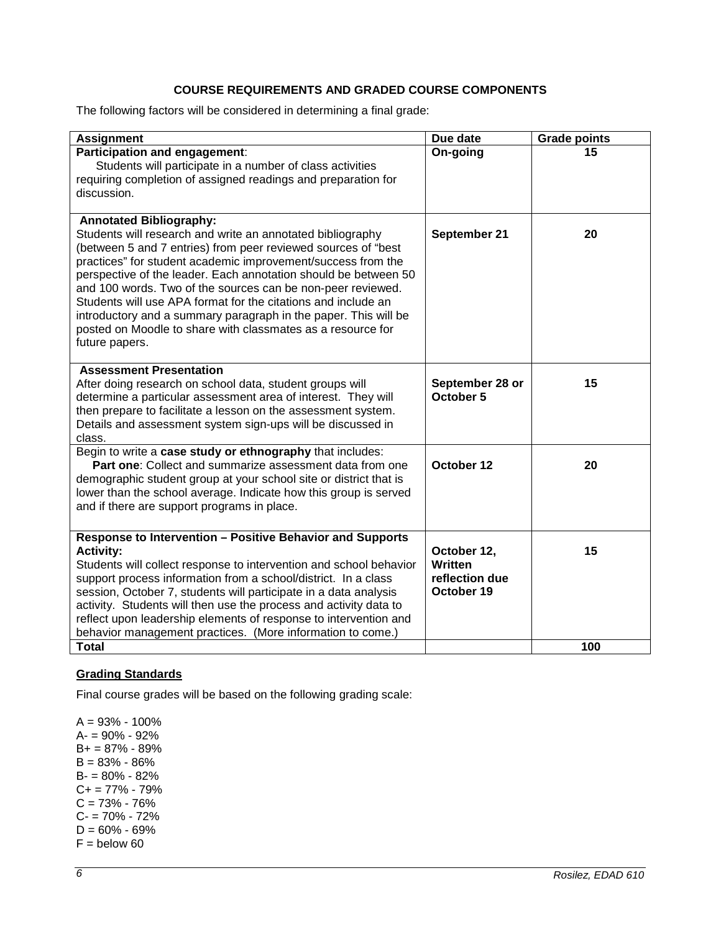# **COURSE REQUIREMENTS AND GRADED COURSE COMPONENTS**

The following factors will be considered in determining a final grade:

| <b>Assignment</b>                                                                                                                                                                                                                                                                                                                                                                                                                                                                                                                                                                    | Due date                                                      | <b>Grade points</b> |
|--------------------------------------------------------------------------------------------------------------------------------------------------------------------------------------------------------------------------------------------------------------------------------------------------------------------------------------------------------------------------------------------------------------------------------------------------------------------------------------------------------------------------------------------------------------------------------------|---------------------------------------------------------------|---------------------|
| Participation and engagement:<br>Students will participate in a number of class activities<br>requiring completion of assigned readings and preparation for<br>discussion.                                                                                                                                                                                                                                                                                                                                                                                                           | On-going                                                      | 15                  |
| <b>Annotated Bibliography:</b><br>Students will research and write an annotated bibliography<br>(between 5 and 7 entries) from peer reviewed sources of "best<br>practices" for student academic improvement/success from the<br>perspective of the leader. Each annotation should be between 50<br>and 100 words. Two of the sources can be non-peer reviewed.<br>Students will use APA format for the citations and include an<br>introductory and a summary paragraph in the paper. This will be<br>posted on Moodle to share with classmates as a resource for<br>future papers. | September 21                                                  | 20                  |
| <b>Assessment Presentation</b><br>After doing research on school data, student groups will<br>determine a particular assessment area of interest. They will<br>then prepare to facilitate a lesson on the assessment system.<br>Details and assessment system sign-ups will be discussed in<br>class.                                                                                                                                                                                                                                                                                | September 28 or<br>October 5                                  | 15                  |
| Begin to write a case study or ethnography that includes:<br><b>Part one:</b> Collect and summarize assessment data from one<br>demographic student group at your school site or district that is<br>lower than the school average. Indicate how this group is served<br>and if there are support programs in place.                                                                                                                                                                                                                                                                 | October 12                                                    | 20                  |
| Response to Intervention - Positive Behavior and Supports<br><b>Activity:</b><br>Students will collect response to intervention and school behavior<br>support process information from a school/district. In a class<br>session, October 7, students will participate in a data analysis<br>activity. Students will then use the process and activity data to<br>reflect upon leadership elements of response to intervention and<br>behavior management practices. (More information to come.)<br><b>Total</b>                                                                     | October 12,<br><b>Written</b><br>reflection due<br>October 19 | 15<br>100           |

# **Grading Standards**

Final course grades will be based on the following grading scale:

A = 93% - 100% A- = 90% - 92% B+ = 87% - 89% B = 83% - 86% B- = 80% - 82%  $C+= 77\% - 79\%$  $C = 73% - 76%$  $C - 70\% - 72\%$  $D = 60\% - 69\%$  $F =$  below 60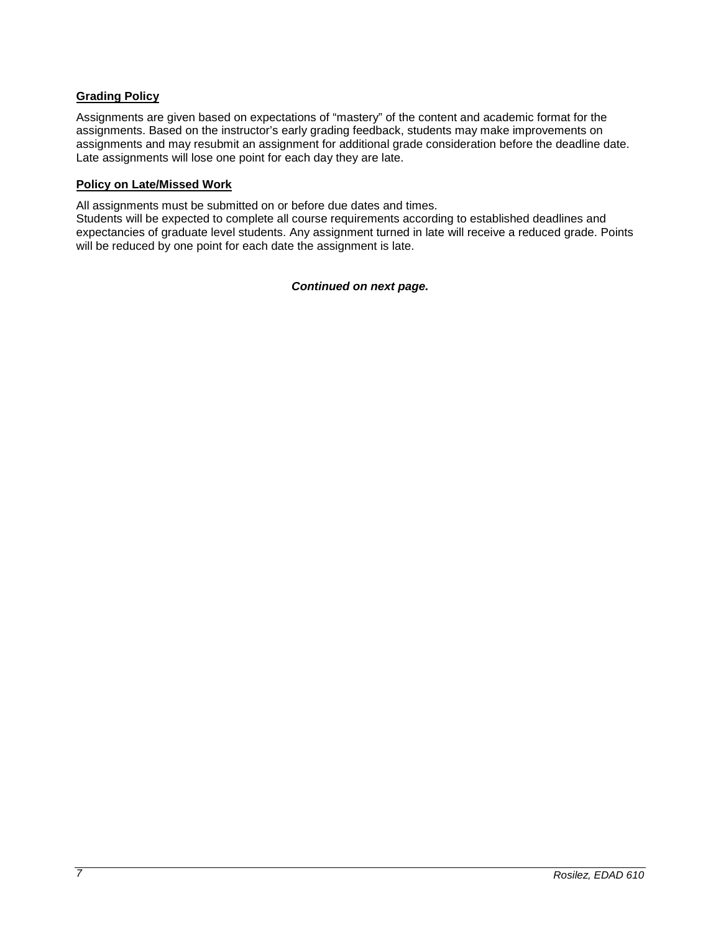# **Grading Policy**

Assignments are given based on expectations of "mastery" of the content and academic format for the assignments. Based on the instructor's early grading feedback, students may make improvements on assignments and may resubmit an assignment for additional grade consideration before the deadline date. Late assignments will lose one point for each day they are late.

#### **Policy on Late/Missed Work**

All assignments must be submitted on or before due dates and times.

Students will be expected to complete all course requirements according to established deadlines and expectancies of graduate level students. Any assignment turned in late will receive a reduced grade. Points will be reduced by one point for each date the assignment is late.

#### *Continued on next page.*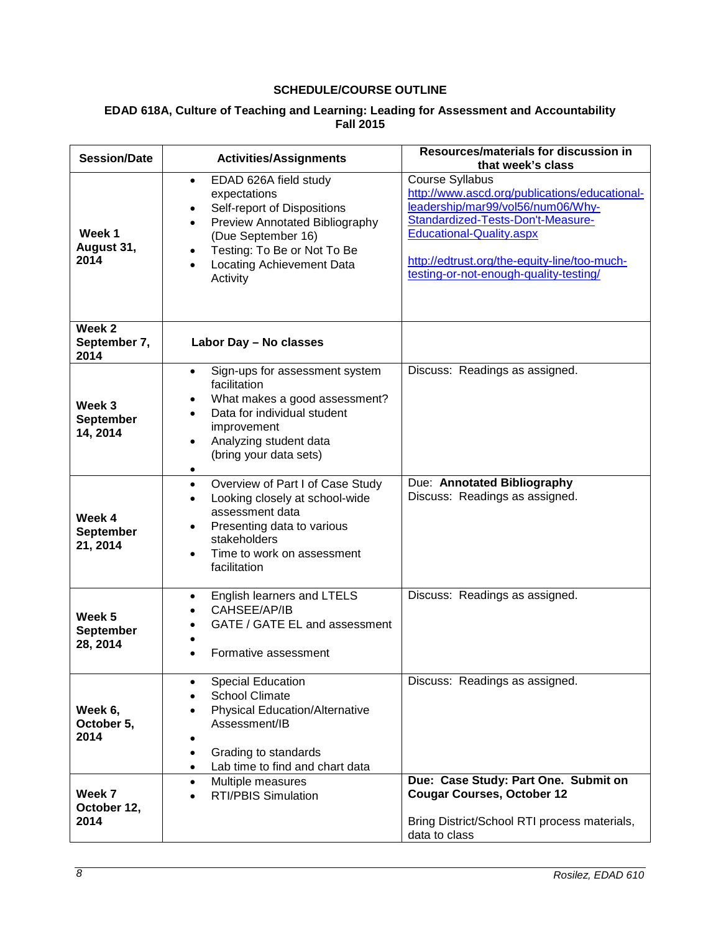# **SCHEDULE/COURSE OUTLINE**

| EDAD 618A, Culture of Teaching and Learning: Leading for Assessment and Accountability |
|----------------------------------------------------------------------------------------|
| <b>Fall 2015</b>                                                                       |

| <b>Session/Date</b>                       | <b>Activities/Assignments</b>                                                                                                                                                                                                         | <b>Resources/materials for discussion in</b><br>that week's class                                                                                                                                                                                                              |
|-------------------------------------------|---------------------------------------------------------------------------------------------------------------------------------------------------------------------------------------------------------------------------------------|--------------------------------------------------------------------------------------------------------------------------------------------------------------------------------------------------------------------------------------------------------------------------------|
| Week 1<br>August 31,<br>2014              | EDAD 626A field study<br>$\bullet$<br>expectations<br>Self-report of Dispositions<br>Preview Annotated Bibliography<br>(Due September 16)<br>Testing: To Be or Not To Be<br>$\bullet$<br><b>Locating Achievement Data</b><br>Activity | <b>Course Syllabus</b><br>http://www.ascd.org/publications/educational-<br>leadership/mar99/vol56/num06/Why-<br>Standardized-Tests-Don't-Measure-<br><b>Educational-Quality.aspx</b><br>http://edtrust.org/the-equity-line/too-much-<br>testing-or-not-enough-quality-testing/ |
| Week <sub>2</sub><br>September 7,<br>2014 | Labor Day - No classes                                                                                                                                                                                                                |                                                                                                                                                                                                                                                                                |
| Week 3<br><b>September</b><br>14, 2014    | Sign-ups for assessment system<br>$\bullet$<br>facilitation<br>What makes a good assessment?<br>Data for individual student<br>improvement<br>Analyzing student data<br>$\bullet$<br>(bring your data sets)<br>$\bullet$              | Discuss: Readings as assigned.                                                                                                                                                                                                                                                 |
| Week 4<br><b>September</b><br>21, 2014    | Overview of Part I of Case Study<br>$\bullet$<br>Looking closely at school-wide<br>assessment data<br>Presenting data to various<br>٠<br>stakeholders<br>Time to work on assessment<br>facilitation                                   | Due: Annotated Bibliography<br>Discuss: Readings as assigned.                                                                                                                                                                                                                  |
| Week 5<br><b>September</b><br>28, 2014    | English learners and LTELS<br>٠<br>CAHSEE/AP/IB<br>GATE / GATE EL and assessment<br>Formative assessment                                                                                                                              | Discuss: Readings as assigned.                                                                                                                                                                                                                                                 |
| Week 6,<br>October 5,<br>2014             | <b>Special Education</b><br><b>School Climate</b><br><b>Physical Education/Alternative</b><br>Assessment/IB<br>Grading to standards<br>Lab time to find and chart data                                                                | Discuss: Readings as assigned.                                                                                                                                                                                                                                                 |
| Week 7<br>October 12,<br>2014             | Multiple measures<br><b>RTI/PBIS Simulation</b>                                                                                                                                                                                       | Due: Case Study: Part One. Submit on<br><b>Cougar Courses, October 12</b><br>Bring District/School RTI process materials,<br>data to class                                                                                                                                     |